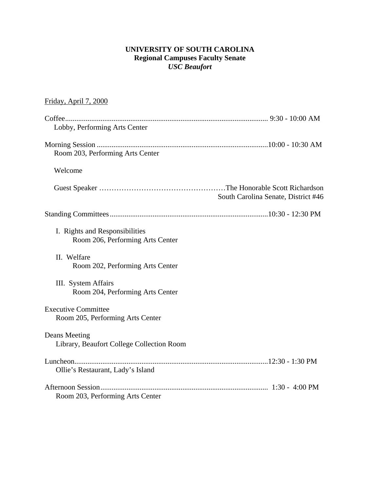### **UNIVERSITY OF SOUTH CAROLINA Regional Campuses Faculty Senate**  *USC Beaufort*

## Friday, April 7, 2000

| Lobby, Performing Arts Center                                      |
|--------------------------------------------------------------------|
|                                                                    |
| Room 203, Performing Arts Center                                   |
| Welcome                                                            |
| South Carolina Senate, District #46                                |
|                                                                    |
| I. Rights and Responsibilities<br>Room 206, Performing Arts Center |
| II. Welfare<br>Room 202, Performing Arts Center                    |
| III. System Affairs<br>Room 204, Performing Arts Center            |
| <b>Executive Committee</b><br>Room 205, Performing Arts Center     |
| Deans Meeting<br>Library, Beaufort College Collection Room         |
| Ollie's Restaurant, Lady's Island                                  |
| Room 203, Performing Arts Center                                   |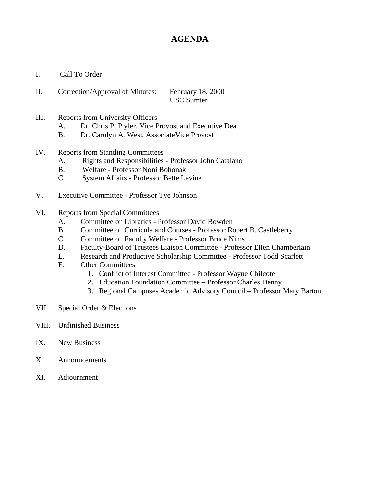# **AGENDA**

- I. Call To Order
- II. Correction/Approval of Minutes: February 18, 2000 USC Sumter
- III. Reports from University Officers
	- A. Dr. Chris P. Plyler, Vice Provost and Executive Dean
	- B. Dr. Carolyn A. West, AssociateVice Provost
- IV. Reports from Standing Committees
	- A. Rights and Responsibilities Professor John Catalano
	- B. Welfare Professor Noni Bohonak
	- C. System Affairs Professor Bette Levine
- V. Executive Committee Professor Tye Johnson
- VI. Reports from Special Committees
	- A. Committee on Libraries Professor David Bowden
	- B. Committee on Curricula and Courses Professor Robert B. Castleberry
	- C. Committee on Faculty Welfare Professor Bruce Nims
	- D. Faculty-Board of Trustees Liaison Committee Professor Ellen Chamberlain
	- E. Research and Productive Scholarship Committee Professor Todd Scarlett
	- F. Other Committees
		- 1. Conflict of Interest Committee Professor Wayne Chilcote
		- 2. Education Foundation Committee Professor Charles Denny
		- 3. Regional Campuses Academic Advisory Council Professor Mary Barton
- VII. Special Order & Elections
- VIII. Unfinished Business
- IX. New Business
- X. Announcements
- XI. Adjournment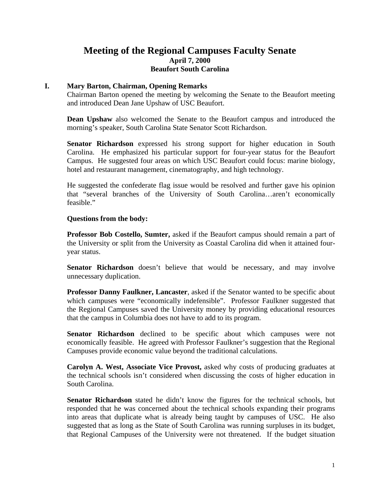## **Meeting of the Regional Campuses Faculty Senate April 7, 2000 Beaufort South Carolina**

#### **I. Mary Barton, Chairman, Opening Remarks**

Chairman Barton opened the meeting by welcoming the Senate to the Beaufort meeting and introduced Dean Jane Upshaw of USC Beaufort.

**Dean Upshaw** also welcomed the Senate to the Beaufort campus and introduced the morning's speaker, South Carolina State Senator Scott Richardson.

**Senator Richardson** expressed his strong support for higher education in South Carolina. He emphasized his particular support for four-year status for the Beaufort Campus. He suggested four areas on which USC Beaufort could focus: marine biology, hotel and restaurant management, cinematography, and high technology.

He suggested the confederate flag issue would be resolved and further gave his opinion that "several branches of the University of South Carolina…aren't economically feasible."

#### **Questions from the body:**

**Professor Bob Costello, Sumter,** asked if the Beaufort campus should remain a part of the University or split from the University as Coastal Carolina did when it attained fouryear status.

**Senator Richardson** doesn't believe that would be necessary, and may involve unnecessary duplication.

**Professor Danny Faulkner, Lancaster**, asked if the Senator wanted to be specific about which campuses were "economically indefensible". Professor Faulkner suggested that the Regional Campuses saved the University money by providing educational resources that the campus in Columbia does not have to add to its program.

**Senator Richardson** declined to be specific about which campuses were not economically feasible. He agreed with Professor Faulkner's suggestion that the Regional Campuses provide economic value beyond the traditional calculations.

**Carolyn A. West, Associate Vice Provost,** asked why costs of producing graduates at the technical schools isn't considered when discussing the costs of higher education in South Carolina.

**Senator Richardson** stated he didn't know the figures for the technical schools, but responded that he was concerned about the technical schools expanding their programs into areas that duplicate what is already being taught by campuses of USC. He also suggested that as long as the State of South Carolina was running surpluses in its budget, that Regional Campuses of the University were not threatened. If the budget situation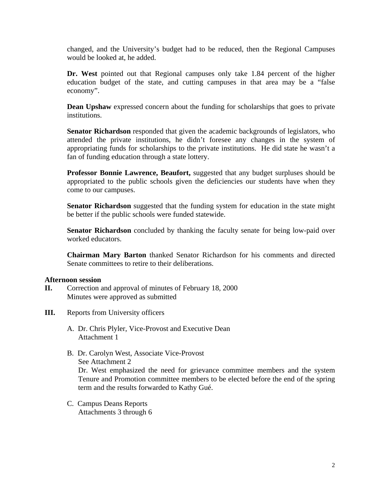changed, and the University's budget had to be reduced, then the Regional Campuses would be looked at, he added.

**Dr. West** pointed out that Regional campuses only take 1.84 percent of the higher education budget of the state, and cutting campuses in that area may be a "false economy".

**Dean Upshaw** expressed concern about the funding for scholarships that goes to private institutions.

**Senator Richardson** responded that given the academic backgrounds of legislators, who attended the private institutions, he didn't foresee any changes in the system of appropriating funds for scholarships to the private institutions. He did state he wasn't a fan of funding education through a state lottery.

**Professor Bonnie Lawrence, Beaufort,** suggested that any budget surpluses should be appropriated to the public schools given the deficiencies our students have when they come to our campuses.

**Senator Richardson** suggested that the funding system for education in the state might be better if the public schools were funded statewide.

**Senator Richardson** concluded by thanking the faculty senate for being low-paid over worked educators.

**Chairman Mary Barton** thanked Senator Richardson for his comments and directed Senate committees to retire to their deliberations.

#### **Afternoon session**

- **II.** Correction and approval of minutes of February 18, 2000 Minutes were approved as submitted
- **III.** Reports from University officers
	- A. Dr. Chris Plyler, Vice-Provost and Executive Dean Attachment 1
	- B. Dr. Carolyn West, Associate Vice-Provost See Attachment 2 Dr. West emphasized the need for grievance committee members and the system Tenure and Promotion committee members to be elected before the end of the spring term and the results forwarded to Kathy Gué.
	- C. Campus Deans Reports Attachments 3 through 6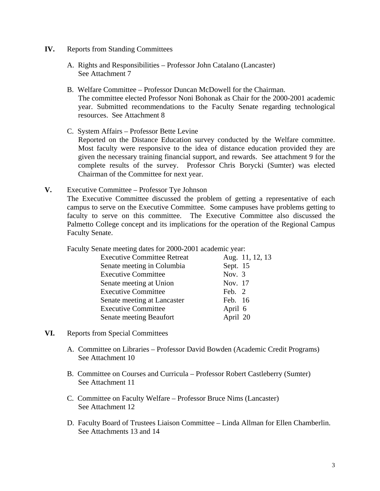- **IV.** Reports from Standing Committees
	- A. Rights and Responsibilities Professor John Catalano (Lancaster) See Attachment 7
	- B. Welfare Committee Professor Duncan McDowell for the Chairman. The committee elected Professor Noni Bohonak as Chair for the 2000-2001 academic year. Submitted recommendations to the Faculty Senate regarding technological resources. See Attachment 8
	- C. System Affairs Professor Bette Levine Reported on the Distance Education survey conducted by the Welfare committee. Most faculty were responsive to the idea of distance education provided they are given the necessary training financial support, and rewards. See attachment 9 for the complete results of the survey. Professor Chris Borycki (Sumter) was elected Chairman of the Committee for next year.
- **V.** Executive Committee Professor Tye Johnson The Executive Committee discussed the problem of getting a representative of each campus to serve on the Executive Committee. Some campuses have problems getting to faculty to serve on this committee. The Executive Committee also discussed the Palmetto College concept and its implications for the operation of the Regional Campus Faculty Senate.

Faculty Senate meeting dates for 2000-2001 academic year:

| <b>Executive Committee Retreat</b> | Aug. 11, 12, 13 |
|------------------------------------|-----------------|
| Senate meeting in Columbia         | Sept. 15        |
| <b>Executive Committee</b>         | Nov. $3$        |
| Senate meeting at Union            | Nov. 17         |
| <b>Executive Committee</b>         | Feb. 2          |
| Senate meeting at Lancaster        | Feb. 16         |
| <b>Executive Committee</b>         | April 6         |
| Senate meeting Beaufort            | April 20        |
|                                    |                 |

- **VI.** Reports from Special Committees
	- A. Committee on Libraries Professor David Bowden (Academic Credit Programs) See Attachment 10
	- B. Committee on Courses and Curricula Professor Robert Castleberry (Sumter) See Attachment 11
	- C. Committee on Faculty Welfare Professor Bruce Nims (Lancaster) See Attachment 12
	- D. Faculty Board of Trustees Liaison Committee Linda Allman for Ellen Chamberlin. See Attachments 13 and 14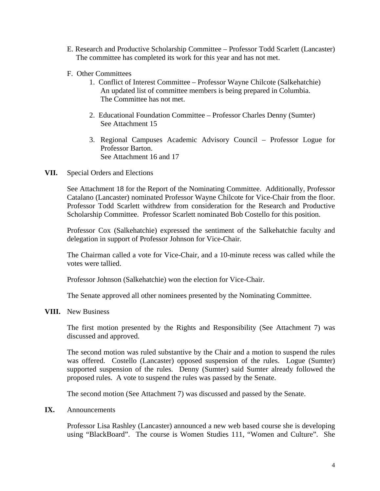- E. Research and Productive Scholarship Committee Professor Todd Scarlett (Lancaster) The committee has completed its work for this year and has not met.
- F. Other Committees
	- 1. Conflict of Interest Committee Professor Wayne Chilcote (Salkehatchie) An updated list of committee members is being prepared in Columbia. The Committee has not met.
	- 2. Educational Foundation Committee Professor Charles Denny (Sumter) See Attachment 15
	- 3. Regional Campuses Academic Advisory Council Professor Logue for Professor Barton. See Attachment 16 and 17
- **VII.** Special Orders and Elections

See Attachment 18 for the Report of the Nominating Committee. Additionally, Professor Catalano (Lancaster) nominated Professor Wayne Chilcote for Vice-Chair from the floor. Professor Todd Scarlett withdrew from consideration for the Research and Productive Scholarship Committee. Professor Scarlett nominated Bob Costello for this position.

Professor Cox (Salkehatchie) expressed the sentiment of the Salkehatchie faculty and delegation in support of Professor Johnson for Vice-Chair.

The Chairman called a vote for Vice-Chair, and a 10-minute recess was called while the votes were tallied.

Professor Johnson (Salkehatchie) won the election for Vice-Chair.

The Senate approved all other nominees presented by the Nominating Committee.

**VIII.** New Business

The first motion presented by the Rights and Responsibility (See Attachment 7) was discussed and approved.

The second motion was ruled substantive by the Chair and a motion to suspend the rules was offered. Costello (Lancaster) opposed suspension of the rules. Logue (Sumter) supported suspension of the rules. Denny (Sumter) said Sumter already followed the proposed rules. A vote to suspend the rules was passed by the Senate.

The second motion (See Attachment 7) was discussed and passed by the Senate.

**IX.** Announcements

Professor Lisa Rashley (Lancaster) announced a new web based course she is developing using "BlackBoard". The course is Women Studies 111, "Women and Culture". She